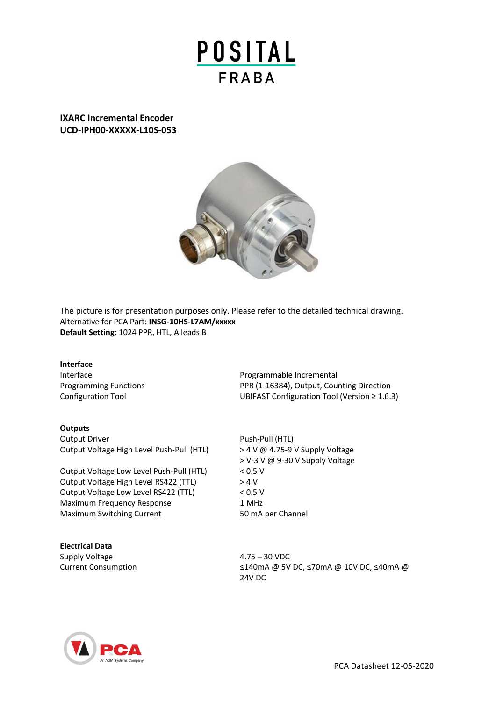

**IXARC Incremental Encoder UCD-IPH00-XXXXX-L10S-053**



The picture is for presentation purposes only. Please refer to the detailed technical drawing. Alternative for PCA Part: **INSG-10HS-L7AM/xxxxx Default Setting**: 1024 PPR, HTL, A leads B

#### **Interface**

#### **Outputs**

Output Driver **Push-Pull (HTL)** Output Voltage High Level Push-Pull (HTL) > 4 V @ 4.75-9 V Supply Voltage

Output Voltage Low Level Push-Pull (HTL) < 0.5 V Output Voltage High Level RS422 (TTL) > 4 V Output Voltage Low Level RS422 (TTL) < 0.5 V Maximum Frequency Response 1 MHz Maximum Switching Current 50 mA per Channel

**Electrical Data** Supply Voltage  $4.75 - 30$  VDC

Interface **Programmable Incremental** Programming Functions **PPR (1-16384)**, Output, Counting Direction Configuration Tool UBIFAST Configuration Tool (Version ≥ 1.6.3)

> V-3 V @ 9-30 V Supply Voltage

Current Consumption ≤140mA @ 5V DC, ≤70mA @ 10V DC, ≤40mA @ 24V DC



PCA Datasheet 12-05-2020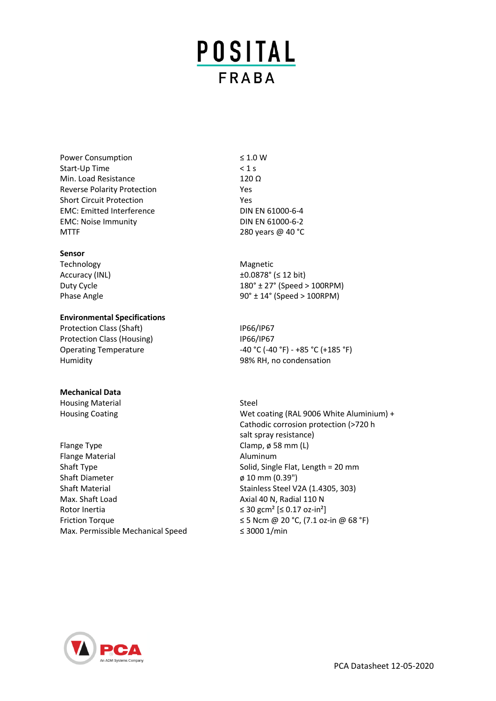# **POSITAL FRABA**

Power Consumption ≤ 1.0 W Start-Up Time < 1 s Min. Load Resistance 120 Ω Reverse Polarity Protection The Messenger Control of the Vest Short Circuit Protection **Yes** EMC: Emitted Interference DIN EN 61000-6-4 EMC: Noise Immunity DIN EN 61000-6-2 MTTF 280 years @ 40 °C

## **Sensor**

Technology Magnetic

## **Environmental Specifications**

Protection Class (Shaft) IP66/IP67 Protection Class (Housing) IP66/IP67 Humidity 98% RH, no condensation

#### **Mechanical Data**

Housing Material Steel

Flange Type **Clamp**, ø 58 mm (L) Flange Material **Aluminum** Aluminum Shaft Type Shaft Type Solid, Single Flat, Length = 20 mm Shaft Diameter **ø 10 mm (0.39")** Shaft Material Shaft Material Stainless Steel V2A (1.4305, 303) Max. Shaft Load **Axial 40 N**, Radial 110 N Rotor Inertia  $\leq 30 \text{ gcm}^2 \leq 0.17 \text{ oz-in}^2$ Max. Permissible Mechanical Speed ≤ 3000 1/min

 $\text{Accuracy (INL)}$   $\pm 0.0878^{\circ}$  ( $\leq 12 \text{ bit}$ ) Duty Cycle 27° (Speed > 100RPM) Phase Angle 100 and 100 and 100 and 100 and 100 and 100 and 100 and 100 and 100 and 100 and 100 and 100 and 10

Operating Temperature  $-40 \degree C (-40 \degree F) - +85 \degree C (+185 \degree F)$ 

Housing Coating Mexicoating (RAL 9006 White Aluminium) + Cathodic corrosion protection (>720 h salt spray resistance) Friction Torque  $\leq$  5 Ncm @ 20 °C, (7.1 oz-in @ 68 °F)

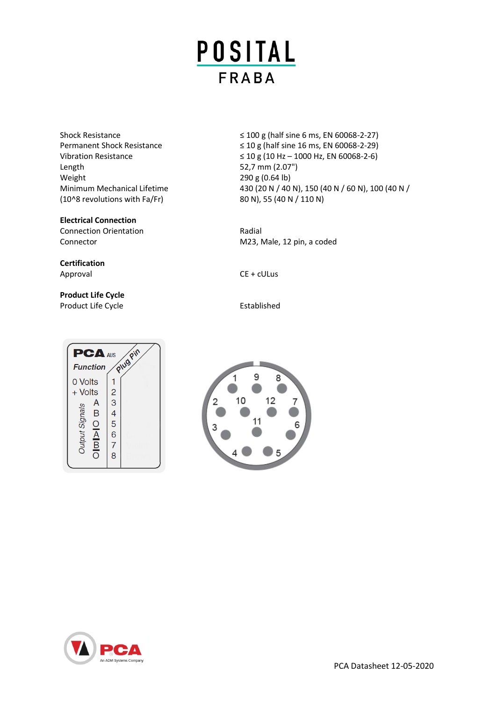

Length 52,7 mm (2.07") Weight 290 g (0.64 lb) (10^8 revolutions with Fa/Fr) 80 N), 55 (40 N / 110 N)

## **Electrical Connection**

Connection Orientation **Radial** Radial Connector Connector M23, Male, 12 pin, a coded

**Certification** Approval CE + cULus

## **Product Life Cycle** Product Life Cycle **Established**



Shock Resistance  $\leq 100 \text{ g}$  (half sine 6 ms, EN 60068-2-27) Permanent Shock Resistance  $\leq 10 \text{ g}$  (half sine 16 ms, EN 60068-2-29) Vibration Resistance  $≤ 10 g (10 Hz – 1000 Hz, EN 60068-2-6)$ Minimum Mechanical Lifetime 430 (20 N / 40 N), 150 (40 N / 60 N), 100 (40 N /



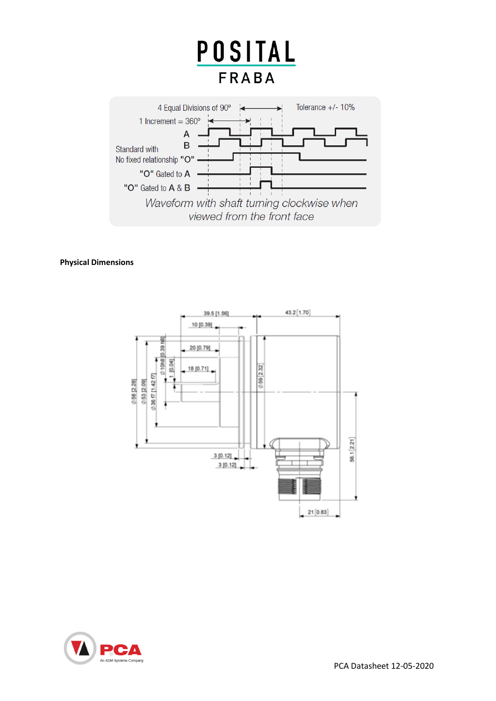

**Physical Dimensions**